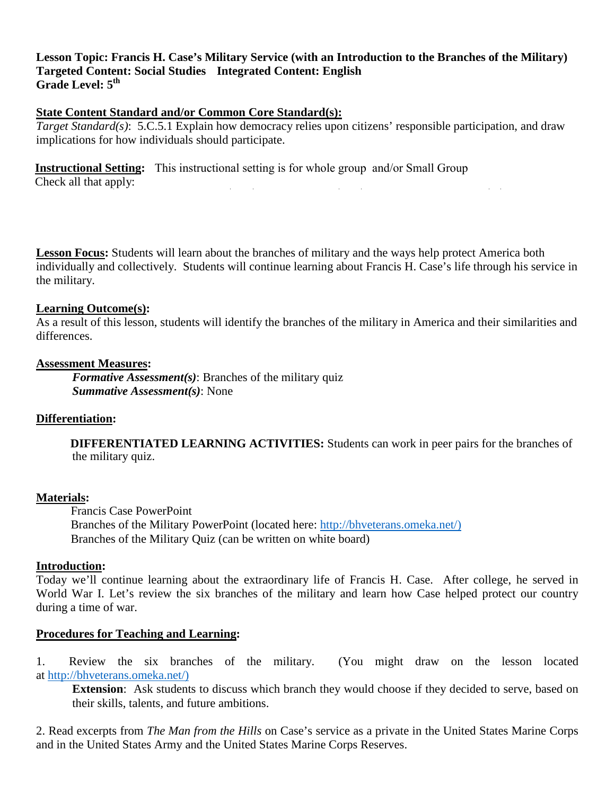## **Lesson Topic: Francis H. Case's Military Service (with an Introduction to the Branches of the Military) Targeted Content: Social Studies Integrated Content: English**  Grade Level:  $5<sup>th</sup>$

# **State Content Standard and/or Common Core Standard(s):**

*Target Standard(s)*: 5.C.5.1 Explain how democracy relies upon citizens' responsible participation, and draw implications for how individuals should participate.

**Instructional Setting:** This instructional setting is for whole group and/or Small Group Check all that apply:

**Lesson Focus:** Students will learn about the branches of military and the ways help protect America both individually and collectively. Students will continue learning about Francis H. Case's life through his service in the military.

#### **Learning Outcome(s):**

As a result of this lesson, students will identify the branches of the military in America and their similarities and differences.

#### **Assessment Measures:**

*Formative Assessment(s)*: Branches of the military quiz *Summative Assessment(s)*: None

## **Differentiation:**

**DIFFERENTIATED LEARNING ACTIVITIES:** Students can work in peer pairs for the branches of the military quiz.

## **Materials:**

Francis Case PowerPoint Branches of the Military PowerPoint (located here: [http://bhveterans.omeka.net/\)](http://bhveterans.omeka.net/))  Branches of the Military Quiz (can be written on white board)

#### **Introduction:**

Today we'll continue learning about the extraordinary life of Francis H. Case. After college, he served in World War I. Let's review the six branches of the military and learn how Case helped protect our country during a time of war.

## **Procedures for Teaching and Learning:**

1. Review the six branches of the military. (You might draw on the lesson located at [http://bhveterans.omeka.net/\)](http://bhveterans.omeka.net/)) 

**Extension**: Ask students to discuss which branch they would choose if they decided to serve, based on their skills, talents, and future ambitions.

2. Read excerpts from *The Man from the Hills* on Case's service as a private in the United States Marine Corps and in the United States Army and the United States Marine Corps Reserves.